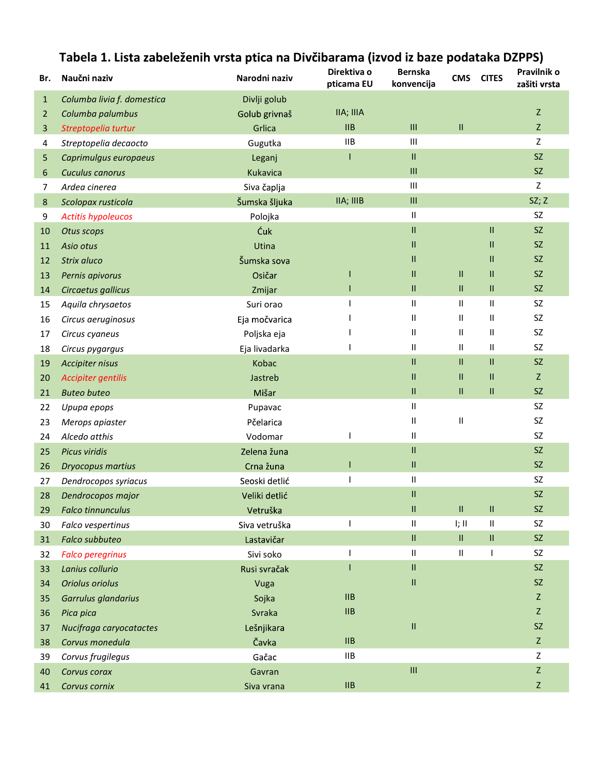| Br.            | Naučni naziv               | Narodni naziv | Direktiva o<br>pticama EU   | <b>Bernska</b><br>konvencija       | <b>CMS</b>                        | <b>CITES</b>  | Pravilnik o<br>zašiti vrsta |
|----------------|----------------------------|---------------|-----------------------------|------------------------------------|-----------------------------------|---------------|-----------------------------|
| $\mathbf{1}$   | Columba livia f. domestica | Divlji golub  |                             |                                    |                                   |               |                             |
| $\overline{2}$ | Columba palumbus           | Golub grivnaš | IIA; IIIA                   |                                    |                                   |               | $\mathsf Z$                 |
| 3              | Streptopelia turtur        | Grlica        | IIB                         | $\ensuremath{\mathsf{III}}\xspace$ | Ш                                 |               | Z                           |
| 4              | Streptopelia decaocto      | Gugutka       | <b>IIB</b>                  | $\ensuremath{\mathsf{III}}\xspace$ |                                   |               | Z                           |
| 5              | Caprimulgus europaeus      | Leganj        | T                           | 11                                 |                                   |               | SZ                          |
| 6              | Cuculus canorus            | Kukavica      |                             | $\ensuremath{\mathsf{III}}\xspace$ |                                   |               | SZ                          |
| 7              | Ardea cinerea              | Siva čaplja   |                             | $\ensuremath{\mathsf{III}}\xspace$ |                                   |               | Z                           |
| 8              | Scolopax rusticola         | Šumska šljuka | IIA; IIIB                   | $\ensuremath{\mathsf{III}}\xspace$ |                                   |               | SZ; Z                       |
| 9              | <b>Actitis hypoleucos</b>  | Polojka       |                             | Ш                                  |                                   |               | SZ                          |
| 10             | Otus scops                 | Ćuk           |                             | 11                                 |                                   | $\mathbf{II}$ | SZ                          |
| 11             | Asio otus                  | Utina         |                             | 11                                 |                                   | Ш             | SZ                          |
| 12             | Strix aluco                | Šumska sova   |                             | Ш                                  |                                   | $\mathbf{H}$  | SZ                          |
| 13             | Pernis apivorus            | Osičar        |                             | 11                                 | Ш                                 | Ш             | SZ                          |
| 14             | Circaetus gallicus         | Zmijar        |                             | 11                                 | Ш                                 | Ш             | SZ                          |
| 15             | Aquila chrysaetos          | Suri orao     |                             | Ш                                  | Ш                                 | Ш             | SZ                          |
| 16             | Circus aeruginosus         | Eja močvarica |                             | Ш                                  | Ш                                 | Ш             | <b>SZ</b>                   |
| 17             | Circus cyaneus             | Poljska eja   |                             | Ш                                  | Ш                                 | Ш             | SZ                          |
| 18             | Circus pygargus            | Eja livadarka |                             | Ш                                  | Ш                                 | Ш             | SZ                          |
| 19             | Accipiter nisus            | Kobac         |                             | 11                                 | Ш                                 | $\mathbf{II}$ | SZ                          |
| 20             | Accipiter gentilis         | Jastreb       |                             | 11                                 | Ш                                 | Ш             | Z                           |
| 21             | <b>Buteo buteo</b>         | Mišar         |                             | 11                                 | $\rm H$                           | $\rm H$       | SZ                          |
| 22             | Upupa epops                | Pupavac       |                             | Ш                                  |                                   |               | <b>SZ</b>                   |
| 23             | Merops apiaster            | Pčelarica     |                             | Ш                                  | Ш                                 |               | SZ                          |
| 24             | Alcedo atthis              | Vodomar       |                             | Ш                                  |                                   |               | SZ                          |
| 25             | Picus viridis              | Zelena žuna   |                             | 11                                 |                                   |               | <b>SZ</b>                   |
| 26             | <b>Dryocopus martius</b>   | Crna žuna     |                             | 11                                 |                                   |               | SZ                          |
| 27             | Dendrocopos syriacus       | Seoski detlić |                             | Ш                                  |                                   |               | SZ                          |
| 28             | Dendrocopos major          | Veliki detlić |                             | 11                                 |                                   |               | SZ                          |
| 29             | <b>Falco tinnunculus</b>   | Vetruška      |                             | 11                                 | $\rm H$                           | $\rm H$       | SZ                          |
| 30             | Falco vespertinus          | Siva vetruška | ı                           | Ш                                  | I; II                             | $\sf II$      | <b>SZ</b>                   |
| 31             | Falco subbuteo             | Lastavičar    |                             | $\mathbf{II}$                      | $\ensuremath{\mathsf{II}}\xspace$ | $\rm H$       | SZ                          |
| 32             | <b>Falco peregrinus</b>    | Sivi soko     | 1                           | Ш                                  | Ш                                 |               | SZ                          |
| 33             | Lanius collurio            | Rusi svračak  | T                           | 11                                 |                                   |               | SZ                          |
| 34             | Oriolus oriolus            | Vuga          |                             | П,                                 |                                   |               | SZ                          |
| 35             | Garrulus glandarius        | Sojka         | $\mathsf{IIB}$              |                                    |                                   |               | Z                           |
| 36             | Pica pica                  | Svraka        | $\ensuremath{\mathsf{IIB}}$ |                                    |                                   |               | Z                           |
| 37             | Nucifraga caryocatactes    | Lešnjikara    |                             | $\mathsf{II}$                      |                                   |               | <b>SZ</b>                   |
| 38             | Corvus monedula            | Čavka         | IIB                         |                                    |                                   |               | Z                           |
| 39             | Corvus frugilegus          | Gačac         | <b>IIB</b>                  |                                    |                                   |               | $\mathsf Z$                 |
| 40             | Corvus corax               | Gavran        |                             | $\ensuremath{\mathsf{III}}\xspace$ |                                   |               | $\mathsf Z$                 |
| 41             | Corvus cornix              | Siva vrana    | $\mathsf{IIB}$              |                                    |                                   |               | $\mathsf Z$                 |

## Tabela 1. Lista zabeleženih vrsta ptica na Divčibarama (izvod iz baze podataka DZPPS)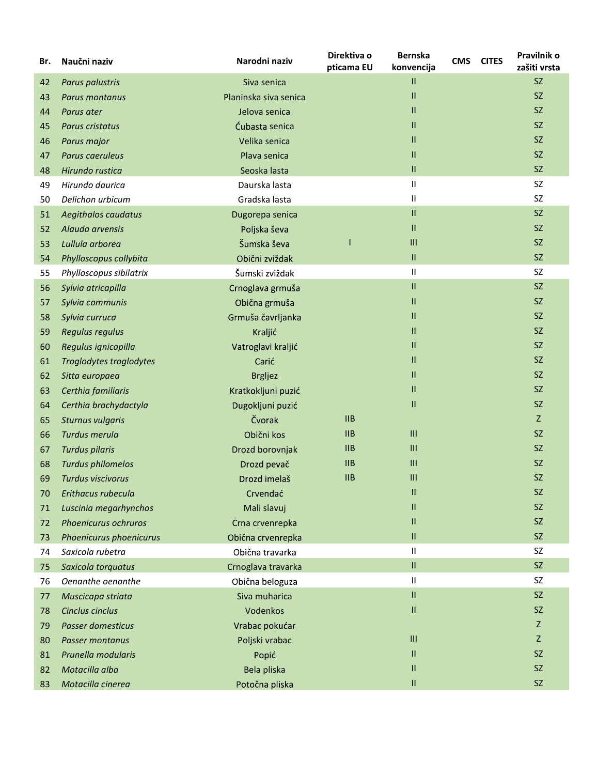| Br. | Naučni naziv             | Narodni naziv         | Direktiva o<br>pticama EU | <b>Bernska</b><br>konvencija | <b>CMS</b> | <b>CITES</b> | Pravilnik o<br>zašiti vrsta |
|-----|--------------------------|-----------------------|---------------------------|------------------------------|------------|--------------|-----------------------------|
| 42  | Parus palustris          | Siva senica           |                           | 11                           |            |              | SZ                          |
| 43  | Parus montanus           | Planinska siva senica |                           | Ш                            |            |              | SZ                          |
| 44  | Parus ater               | Jelova senica         |                           | П.                           |            |              | SZ                          |
| 45  | Parus cristatus          | Ćubasta senica        |                           | 11                           |            |              | SZ                          |
| 46  | Parus major              | Velika senica         |                           | 11                           |            |              | SZ                          |
| 47  | Parus caeruleus          | Plava senica          |                           | Ш                            |            |              | SZ                          |
| 48  | Hirundo rustica          | Seoska lasta          |                           | 11                           |            |              | SZ                          |
| 49  | Hirundo daurica          | Daurska lasta         |                           | Ш                            |            |              | <b>SZ</b>                   |
| 50  | Delichon urbicum         | Gradska lasta         |                           | Ш                            |            |              | <b>SZ</b>                   |
| 51  | Aegithalos caudatus      | Dugorepa senica       |                           | 11                           |            |              | SZ.                         |
| 52  | Alauda arvensis          | Poljska ševa          |                           | 11                           |            |              | SZ                          |
| 53  | Lullula arborea          | Šumska ševa           |                           | $\mathbf{III}$               |            |              | SZ                          |
| 54  | Phylloscopus collybita   | Obični zviždak        |                           | 11                           |            |              | SZ                          |
| 55  | Phylloscopus sibilatrix  | Šumski zviždak        |                           | 11                           |            |              | <b>SZ</b>                   |
| 56  | Sylvia atricapilla       | Crnoglava grmuša      |                           | 11                           |            |              | SZ                          |
| 57  | Sylvia communis          | Obična grmuša         |                           | 11                           |            |              | SZ                          |
| 58  | Sylvia curruca           | Grmuša čavrljanka     |                           | Ш.                           |            |              | SZ                          |
| 59  | Regulus regulus          | Kraljić               |                           | 11                           |            |              | SZ                          |
| 60  | Regulus ignicapilla      | Vatroglavi kraljić    |                           | 11                           |            |              | SZ                          |
| 61  | Troglodytes troglodytes  | Carić                 |                           | 11                           |            |              | SZ                          |
| 62  | Sitta europaea           | <b>Brgljez</b>        |                           | 11                           |            |              | SZ                          |
| 63  | Certhia familiaris       | Kratkokljuni puzić    |                           | 11                           |            |              | SZ                          |
| 64  | Certhia brachydactyla    | Dugokljuni puzić      |                           | 11                           |            |              | SZ                          |
| 65  | <b>Sturnus vulgaris</b>  | Čvorak                | IIB                       |                              |            |              | Z                           |
| 66  | Turdus merula            | Obični kos            | IIB                       | III                          |            |              | SZ                          |
| 67  | <b>Turdus pilaris</b>    | Drozd borovnjak       | IIB                       | III                          |            |              | SZ                          |
| 68  | <b>Turdus philomelos</b> | Drozd pevač           | $\mathsf{IIB}$            | $\mathbf{III}$               |            |              | SZ                          |
| 69  | <b>Turdus viscivorus</b> | Drozd imelaš          | $\mathsf{IIB}$            | $\mathbf{III}$               |            |              | SZ                          |
| 70  | Erithacus rubecula       | Crvendać              |                           | Ш                            |            |              | SZ.                         |
| 71  | Luscinia megarhynchos    | Mali slavuj           |                           | Ш                            |            |              | SZ                          |
| 72  | Phoenicurus ochruros     | Crna crvenrepka       |                           | Ш                            |            |              | SZ                          |
| 73  | Phoenicurus phoenicurus  | Obična crvenrepka     |                           | 11                           |            |              | SZ                          |
| 74  | Saxicola rubetra         | Obična travarka       |                           | Ш.                           |            |              | SZ                          |
| 75  | Saxicola torquatus       | Crnoglava travarka    |                           | 11                           |            |              | SZ                          |
| 76  | Oenanthe oenanthe        | Obična beloguza       |                           | Ш                            |            |              | SZ                          |
| 77  | Muscicapa striata        | Siva muharica         |                           | П,                           |            |              | SZ                          |
| 78  | Cinclus cinclus          | Vodenkos              |                           | 11                           |            |              | <b>SZ</b>                   |
| 79  | <b>Passer domesticus</b> | Vrabac pokućar        |                           |                              |            |              | Z                           |
| 80  | Passer montanus          | Poljski vrabac        |                           | Ш                            |            |              | Z                           |
| 81  | Prunella modularis       | Popić                 |                           | Ш                            |            |              | SZ                          |
| 82  | Motacilla alba           | Bela pliska           |                           | Ш                            |            |              | <b>SZ</b>                   |
| 83  | Motacilla cinerea        | Potočna pliska        |                           | 11                           |            |              | SZ                          |